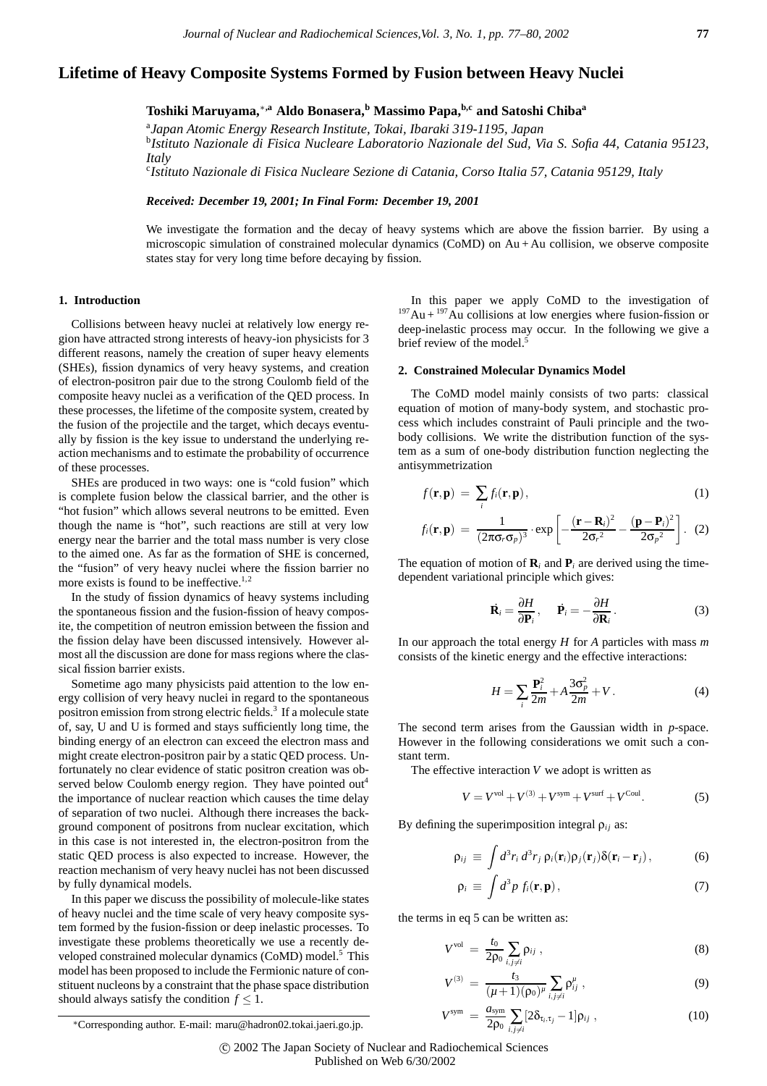# **Lifetime of Heavy Composite Systems Formed by Fusion between Heavy Nuclei**

**Toshiki Maruyama,**∗**,a Aldo Bonasera,<sup>b</sup> Massimo Papa,b,c and Satoshi Chibaa**

a *Japan Atomic Energy Research Institute, Tokai, Ibaraki 319-1195, Japan* b *Istituto Nazionale di Fisica Nucleare Laboratorio Nazionale del Sud, Via S. Sofia 44, Catania 95123, Italy*

c *Istituto Nazionale di Fisica Nucleare Sezione di Catania, Corso Italia 57, Catania 95129, Italy*

*Received: December 19, 2001; In Final Form: December 19, 2001*

We investigate the formation and the decay of heavy systems which are above the fission barrier. By using a microscopic simulation of constrained molecular dynamics (CoMD) on Au + Au collision, we observe composite states stay for very long time before decaying by fission.

# **1. Introduction**

Collisions between heavy nuclei at relatively low energy region have attracted strong interests of heavy-ion physicists for 3 different reasons, namely the creation of super heavy elements (SHEs), fission dynamics of very heavy systems, and creation of electron-positron pair due to the strong Coulomb field of the composite heavy nuclei as a verification of the QED process. In these processes, the lifetime of the composite system, created by the fusion of the projectile and the target, which decays eventually by fission is the key issue to understand the underlying reaction mechanisms and to estimate the probability of occurrence of these processes.

SHEs are produced in two ways: one is "cold fusion" which is complete fusion below the classical barrier, and the other is "hot fusion" which allows several neutrons to be emitted. Even though the name is "hot", such reactions are still at very low energy near the barrier and the total mass number is very close to the aimed one. As far as the formation of SHE is concerned, the "fusion" of very heavy nuclei where the fission barrier no more exists is found to be ineffective.<sup>1,2</sup>

In the study of fission dynamics of heavy systems including the spontaneous fission and the fusion-fission of heavy composite, the competition of neutron emission between the fission and the fission delay have been discussed intensively. However almost all the discussion are done for mass regions where the classical fission barrier exists.

Sometime ago many physicists paid attention to the low energy collision of very heavy nuclei in regard to the spontaneous positron emission from strong electric fields.<sup>3</sup> If a molecule state of, say, U and U is formed and stays sufficiently long time, the binding energy of an electron can exceed the electron mass and might create electron-positron pair by a static QED process. Unfortunately no clear evidence of static positron creation was observed below Coulomb energy region. They have pointed out<sup>4</sup> the importance of nuclear reaction which causes the time delay of separation of two nuclei. Although there increases the background component of positrons from nuclear excitation, which in this case is not interested in, the electron-positron from the static QED process is also expected to increase. However, the reaction mechanism of very heavy nuclei has not been discussed by fully dynamical models.

In this paper we discuss the possibility of molecule-like states of heavy nuclei and the time scale of very heavy composite system formed by the fusion-fission or deep inelastic processes. To investigate these problems theoretically we use a recently developed constrained molecular dynamics (CoMD) model.<sup>5</sup> This model has been proposed to include the Fermionic nature of constituent nucleons by a constraint that the phase space distribution should always satisfy the condition  $f \leq 1$ .

In this paper we apply CoMD to the investigation of  $197$ Au +  $197$ Au collisions at low energies where fusion-fission or deep-inelastic process may occur. In the following we give a brief review of the model.<sup>5</sup>

#### **2. Constrained Molecular Dynamics Model**

The CoMD model mainly consists of two parts: classical equation of motion of many-body system, and stochastic process which includes constraint of Pauli principle and the twobody collisions. We write the distribution function of the system as a sum of one-body distribution function neglecting the antisymmetrization

$$
f(\mathbf{r}, \mathbf{p}) = \sum_{i} f_i(\mathbf{r}, \mathbf{p}), \qquad (1)
$$

$$
f_i(\mathbf{r}, \mathbf{p}) = \frac{1}{(2\pi\sigma_r\sigma_p)^3} \cdot \exp\left[-\frac{(\mathbf{r} - \mathbf{R}_i)^2}{2\sigma_r^2} - \frac{(\mathbf{p} - \mathbf{P}_i)^2}{2\sigma_p^2}\right].
$$
 (2)

The equation of motion of  $\mathbf{R}_i$  and  $\mathbf{P}_i$  are derived using the timedependent variational principle which gives:

$$
\dot{\mathbf{R}}_i = \frac{\partial H}{\partial \mathbf{P}_i}, \quad \dot{\mathbf{P}}_i = -\frac{\partial H}{\partial \mathbf{R}_i}.
$$
 (3)

In our approach the total energy *H* for *A* particles with mass *m* consists of the kinetic energy and the effective interactions:

$$
H = \sum_{i} \frac{\mathbf{P}_{i}^{2}}{2m} + A \frac{3\sigma_{p}^{2}}{2m} + V.
$$
 (4)

The second term arises from the Gaussian width in *p*-space. However in the following considerations we omit such a constant term.

The effective interaction *V* we adopt is written as

$$
V = Vvol + V(3) + Vsym + Vsurf + VCoul.
$$
 (5)

By defining the superimposition integral  $\rho_{ij}$  as:

$$
\rho_{ij} \equiv \int d^3 r_i \, d^3 r_j \, \rho_i(\mathbf{r}_i) \rho_j(\mathbf{r}_j) \delta(\mathbf{r}_i - \mathbf{r}_j), \tag{6}
$$

$$
\rho_i \equiv \int d^3p \, f_i(\mathbf{r}, \mathbf{p}), \qquad (7)
$$

the terms in eq 5 can be written as:

$$
V^{\text{vol}} = \frac{t_0}{2\rho_0} \sum_{i,j \neq i} \rho_{ij} , \qquad (8)
$$

$$
V^{(3)} = \frac{t_3}{(\mu+1)(\rho_0)^{\mu}} \sum_{i,j \neq i} \rho_{ij}^{\mu} , \qquad (9)
$$

$$
V^{\text{sym}} = \frac{a_{\text{sym}}}{2\rho_0} \sum_{i,j\neq i} [2\delta_{\tau_i,\tau_j} - 1] \rho_{ij} , \qquad (10)
$$

c 2002 The Japan Society of Nuclear and Radiochemical Sciences Published on Web 6/30/2002

<sup>∗</sup>Corresponding author. E-mail: maru@hadron02.tokai.jaeri.go.jp.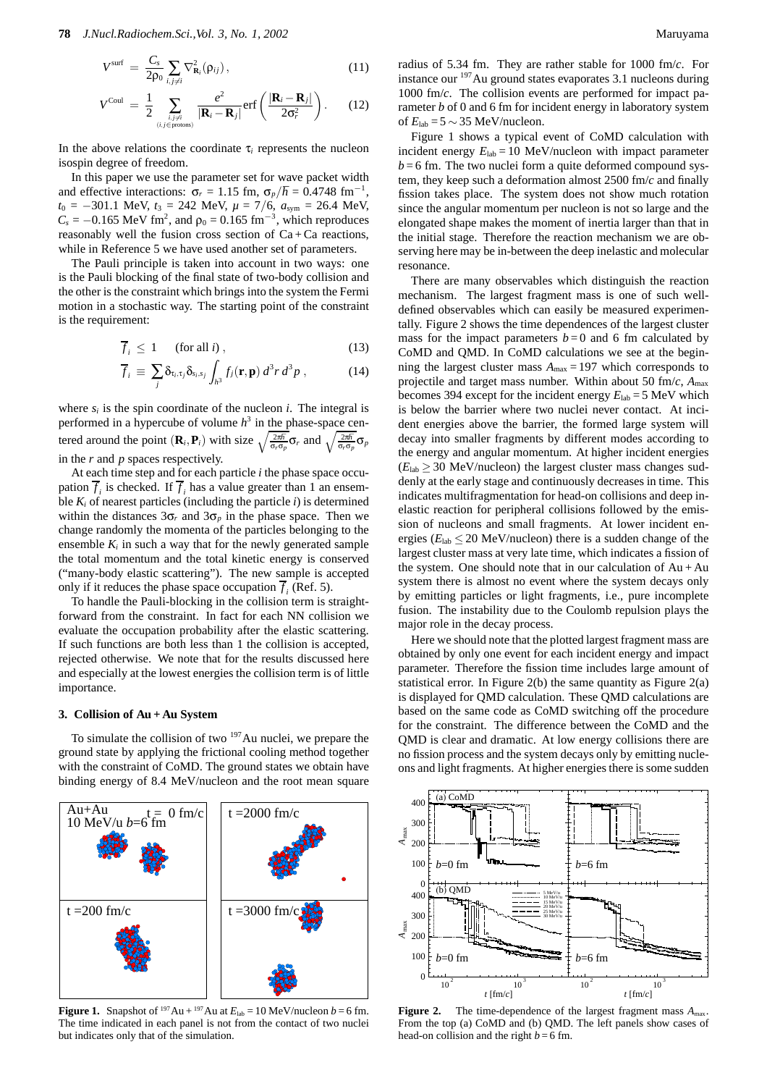$$
V^{\text{surf}} = \frac{C_s}{2\rho_0} \sum_{i,j \neq i} \nabla_{\mathbf{R}_i}^2(\rho_{ij}), \qquad (11)
$$

$$
V^{\text{Coul}} = \frac{1}{2} \sum_{\substack{i,j \neq i \\ (i,j \in \text{protons})}} \frac{e^2}{|\mathbf{R}_i - \mathbf{R}_j|} \text{erf}\left(\frac{|\mathbf{R}_i - \mathbf{R}_j|}{2\sigma_r^2}\right). \tag{12}
$$

In the above relations the coordinate  $\tau_i$  represents the nucleon isospin degree of freedom.

In this paper we use the parameter set for wave packet width and effective interactions:  $\sigma_r = 1.15$  fm,  $\sigma_p / \hbar = 0.4748$  fm<sup>-1</sup>,  $t_0 = -301.1$  MeV,  $t_3 = 242$  MeV,  $\mu = 7/6$ ,  $a_{sym} = 26.4$  MeV,  $C_s = -0.165 \text{ MeV fm}^2$ , and  $\rho_0 = 0.165 \text{ fm}^{-3}$ , which reproduces reasonably well the fusion cross section of  $Ca + Ca$  reactions, while in Reference 5 we have used another set of parameters.

The Pauli principle is taken into account in two ways: one is the Pauli blocking of the final state of two-body collision and the other is the constraint which brings into the system the Fermi motion in a stochastic way. The starting point of the constraint is the requirement:

$$
\overline{f}_i \le 1 \qquad \text{(for all } i), \tag{13}
$$

$$
\overline{f}_i \equiv \sum_j \delta_{\tau_i, \tau_j} \delta_{s_i, s_j} \int_{h^3} f_j(\mathbf{r}, \mathbf{p}) d^3 r d^3 p , \qquad (14)
$$

where  $s_i$  is the spin coordinate of the nucleon  $i$ . The integral is performed in a hypercube of volume  $h<sup>3</sup>$  in the phase-space centered around the point  $(\mathbf{R}_i, \mathbf{P}_i)$  with size  $\sqrt{\frac{2\pi\hbar}{\sigma_r \sigma_p}} \sigma_r$  and  $\sqrt{\frac{2\pi\hbar}{\sigma_r \sigma_p}} \sigma_p$ in the *r* and *p* spaces respectively.

At each time step and for each particle *i* the phase space occupation  $\overline{f}$ , is checked. If  $\overline{f}$ , has a value greater than 1 an ensemble  $K_i$  of nearest particles (including the particle  $i$ ) is determined within the distances  $3\sigma_r$  and  $3\sigma_p$  in the phase space. Then we change randomly the momenta of the particles belonging to the ensemble  $K_i$  in such a way that for the newly generated sample the total momentum and the total kinetic energy is conserved ("many-body elastic scattering"). The new sample is accepted only if it reduces the phase space occupation  $\overline{f}_i$  (Ref. 5).

To handle the Pauli-blocking in the collision term is straightforward from the constraint. In fact for each NN collision we evaluate the occupation probability after the elastic scattering. If such functions are both less than 1 the collision is accepted, rejected otherwise. We note that for the results discussed here and especially at the lowest energies the collision term is of little importance.

### **3. Collision of Au + Au System**

To simulate the collision of two  $197$  Au nuclei, we prepare the ground state by applying the frictional cooling method together with the constraint of CoMD. The ground states we obtain have binding energy of 8.4 MeV/nucleon and the root mean square



**Figure 1.** Snapshot of <sup>197</sup>Au + <sup>197</sup>Au at  $E_{lab} = 10$  MeV/nucleon  $b = 6$  fm. The time indicated in each panel is not from the contact of two nuclei but indicates only that of the simulation.

radius of 5.34 fm. They are rather stable for 1000 fm/*c*. For instance our 197Au ground states evaporates 3.1 nucleons during 1000 fm/*c*. The collision events are performed for impact parameter *b* of 0 and 6 fm for incident energy in laboratory system of  $E_{\text{lab}} = 5 \sim 35$  MeV/nucleon.

Figure 1 shows a typical event of CoMD calculation with incident energy  $E_{lab} = 10$  MeV/nucleon with impact parameter  $b = 6$  fm. The two nuclei form a quite deformed compound system, they keep such a deformation almost 2500 fm/*c* and finally fission takes place. The system does not show much rotation since the angular momentum per nucleon is not so large and the elongated shape makes the moment of inertia larger than that in the initial stage. Therefore the reaction mechanism we are observing here may be in-between the deep inelastic and molecular resonance.

There are many observables which distinguish the reaction mechanism. The largest fragment mass is one of such welldefined observables which can easily be measured experimentally. Figure 2 shows the time dependences of the largest cluster mass for the impact parameters  $b=0$  and 6 fm calculated by CoMD and QMD. In CoMD calculations we see at the beginning the largest cluster mass  $A_{\text{max}} = 197$  which corresponds to projectile and target mass number. Within about 50 fm/*c*, *A*max becomes 394 except for the incident energy  $E_{lab} = 5$  MeV which is below the barrier where two nuclei never contact. At incident energies above the barrier, the formed large system will decay into smaller fragments by different modes according to the energy and angular momentum. At higher incident energies  $(E_{lab} \geq 30 \text{ MeV/nucleon})$  the largest cluster mass changes suddenly at the early stage and continuously decreases in time. This indicates multifragmentation for head-on collisions and deep inelastic reaction for peripheral collisions followed by the emission of nucleons and small fragments. At lower incident energies ( $E_{\text{lab}} \leq 20$  MeV/nucleon) there is a sudden change of the largest cluster mass at very late time, which indicates a fission of the system. One should note that in our calculation of  $Au + Au$ system there is almost no event where the system decays only by emitting particles or light fragments, i.e., pure incomplete fusion. The instability due to the Coulomb repulsion plays the major role in the decay process.

Here we should note that the plotted largest fragment mass are obtained by only one event for each incident energy and impact parameter. Therefore the fission time includes large amount of statistical error. In Figure  $2(b)$  the same quantity as Figure  $2(a)$ is displayed for QMD calculation. These QMD calculations are based on the same code as CoMD switching off the procedure for the constraint. The difference between the CoMD and the QMD is clear and dramatic. At low energy collisions there are no fission process and the system decays only by emitting nucleons and light fragments. At higher energies there is some sudden



**Figure 2.** The time-dependence of the largest fragment mass  $A<sub>r</sub>$ From the top (a) CoMD and (b) QMD. The left panels show cases of head-on collision and the right  $b = 6$  fm.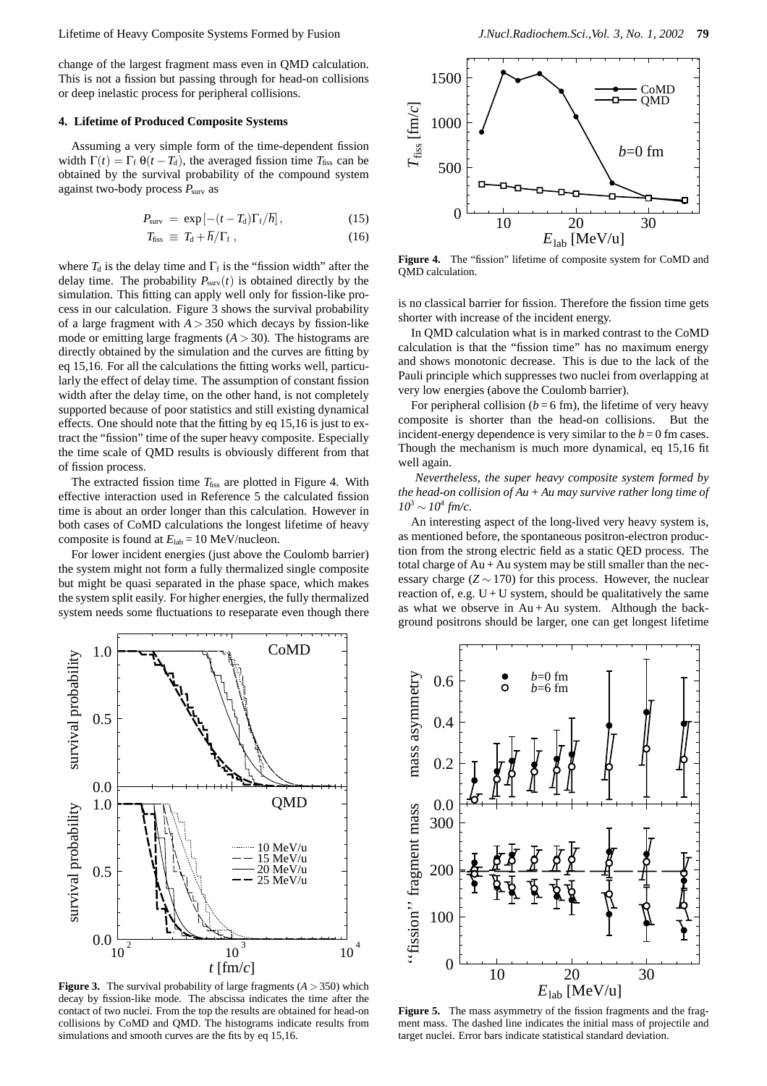change of the largest fragment mass even in QMD calculation. This is not a fission but passing through for head-on collisions or deep inelastic process for peripheral collisions.

# **4. Lifetime of Produced Composite Systems**

Assuming a very simple form of the time-dependent fission width  $\Gamma(t) = \Gamma_f \Theta(t - T_d)$ , the averaged fission time  $T_{\text{fiss}}$  can be obtained by the survival probability of the compound system against two-body process *P*surv as

$$
P_{\text{surv}} = \exp\left[-(t - T_{\text{d}})\Gamma_{\text{f}}/\hbar\right],\tag{15}
$$

$$
T_{\text{fiss}} \equiv T_{\text{d}} + \hbar / \Gamma_{\text{f}} \,, \tag{16}
$$

where  $T_d$  is the delay time and  $\Gamma_f$  is the "fission width" after the delay time. The probability  $P_{\text{surv}}(t)$  is obtained directly by the simulation. This fitting can apply well only for fission-like process in our calculation. Figure 3 shows the survival probability of a large fragment with  $A > 350$  which decays by fission-like mode or emitting large fragments (*A >* 30). The histograms are directly obtained by the simulation and the curves are fitting by eq 15,16. For all the calculations the fitting works well, particularly the effect of delay time. The assumption of constant fission width after the delay time, on the other hand, is not completely supported because of poor statistics and still existing dynamical effects. One should note that the fitting by eq 15,16 is just to extract the "fission" time of the super heavy composite. Especially the time scale of QMD results is obviously different from that of fission process.

The extracted fission time  $T_{\text{fiss}}$  are plotted in Figure 4. With effective interaction used in Reference 5 the calculated fission time is about an order longer than this calculation. However in both cases of CoMD calculations the longest lifetime of heavy composite is found at  $E_{lab} = 10 \text{ MeV/nucleon.}$ 

For lower incident energies (just above the Coulomb barrier) the system might not form a fully thermalized single composite but might be quasi separated in the phase space, which makes the system split easily. For higher energies, the fully thermalized system needs some fluctuations to reseparate even though there



**Figure 4.** The "fission" lifetime of composite system for CoMD and QMD calculation.

is no classical barrier for fission. Therefore the fission time gets shorter with increase of the incident energy.

In QMD calculation what is in marked contrast to the CoMD calculation is that the "fission time" has no maximum energy and shows monotonic decrease. This is due to the lack of the Pauli principle which suppresses two nuclei from overlapping at very low energies (above the Coulomb barrier).

For peripheral collision ( $b = 6$  fm), the lifetime of very heavy composite is shorter than the head-on collisions. But the incident-energy dependence is very similar to the  $b = 0$  fm cases. Though the mechanism is much more dynamical, eq 15,16 fit well again.

*Nevertheless, the super heavy composite system formed by the head-on collision of Au + Au may survive rather long time of*  $10^3$  ~  $10^4$  *fm/c.* 

An interesting aspect of the long-lived very heavy system is, as mentioned before, the spontaneous positron-electron production from the strong electric field as a static QED process. The total charge of  $Au + Au$  system may be still smaller than the necessary charge  $(Z \sim 170)$  for this process. However, the nuclear reaction of, e.g.  $U+U$  system, should be qualitatively the same as what we observe in  $Au + Au$  system. Although the background positrons should be larger, one can get longest lifetime



**Figure 3.** The survival probability of large fragments  $(A > 350)$  which decay by fission-like mode. The abscissa indicates the time after the contact of two nuclei. From the top the results are obtained for head-on collisions by CoMD and QMD. The histograms indicate results from simulations and smooth curves are the fits by eq 15,16.



**Figure 5.** The mass asymmetry of the fission fragments and the fragment mass. The dashed line indicates the initial mass of projectile and target nuclei. Error bars indicate statistical standard deviation.